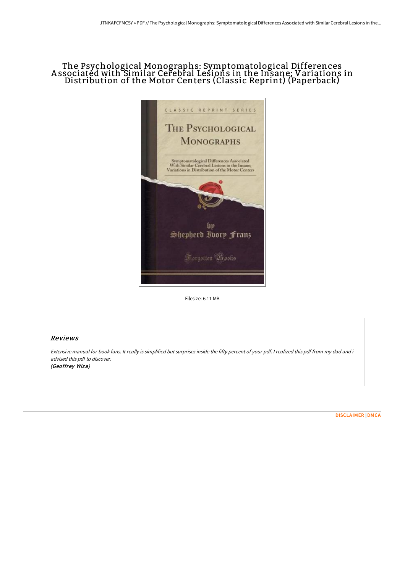## The Psychological Monographs: Symptomatological Differences A ssociated with Similar Cerebral Lesions in the Insane; Variations in Distribution of the Motor Centers (Classic Reprint) (Paperback)



Filesize: 6.11 MB

## Reviews

Extensive manual for book fans. It really is simplified but surprises inside the fifty percent of your pdf. I realized this pdf from my dad and i advised this pdf to discover. (Geoffrey Wiza)

[DISCLAIMER](http://techno-pub.tech/disclaimer.html) | [DMCA](http://techno-pub.tech/dmca.html)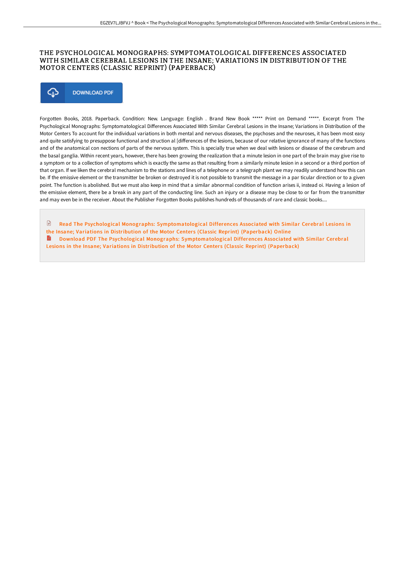## THE PSYCHOLOGICAL MONOGRAPHS: SYMPTOMATOLOGICAL DIFFERENCES ASSOCIATED WITH SIMILAR CEREBRAL LESIONS IN THE INSANE; VARIATIONS IN DISTRIBUTION OF THE MOTOR CENTERS (CLASSIC REPRINT) (PAPERBACK)



Forgotten Books, 2018. Paperback. Condition: New. Language: English . Brand New Book \*\*\*\*\* Print on Demand \*\*\*\*\*. Excerpt from The Psychological Monographs: Symptomatological Differences Associated With Similar Cerebral Lesions in the Insane; Variations in Distribution of the Motor Centers To account for the individual variations in both mental and nervous diseases, the psychoses and the neuroses, it has been most easy and quite satisfying to presuppose functional and struction al [differences of the lesions, because of our relative ignorance of many of the functions and of the anatomical con nections of parts of the nervous system. This is specially true when we deal with lesions or disease of the cerebrum and the basal ganglia. Within recent years, however, there has been growing the realization that a minute lesion in one part of the brain may give rise to a symptom or to a collection of symptoms which is exactly the same as that resulting from a similarly minute lesion in a second or a third portion of that organ. If we liken the cerebral mechanism to the stations and lines of a telephone or a telegraph plant we may readily understand how this can be. If the emissive element or the transmitter be broken or destroyed it is not possible to transmit the message in a par ticular direction or to a given point. The function is abolished. But we must also keep in mind that a similar abnormal condition of function arises ii, instead oi. Having a lesion of the emissive element, there be a break in any part of the conducting line. Such an injury or a disease may be close to or far from the transmitter and may even be in the receiver. About the Publisher Forgotten Books publishes hundreds of thousands of rare and classic books....

Read The Psychological Monographs: [Symptomatological](http://techno-pub.tech/the-psychological-monographs-symptomatological-d.html) Differences Associated with Similar Cerebral Lesions in the Insane: Variations in Distribution of the Motor Centers (Classic Reprint) (Paperback) Online **■** Download PDF The Psychological Monographs: [Symptomatological](http://techno-pub.tech/the-psychological-monographs-symptomatological-d.html) Differences Associated with Similar Cerebral Lesions in the Insane; Variations in Distribution of the Motor Centers (Classic Reprint) (Paperback)